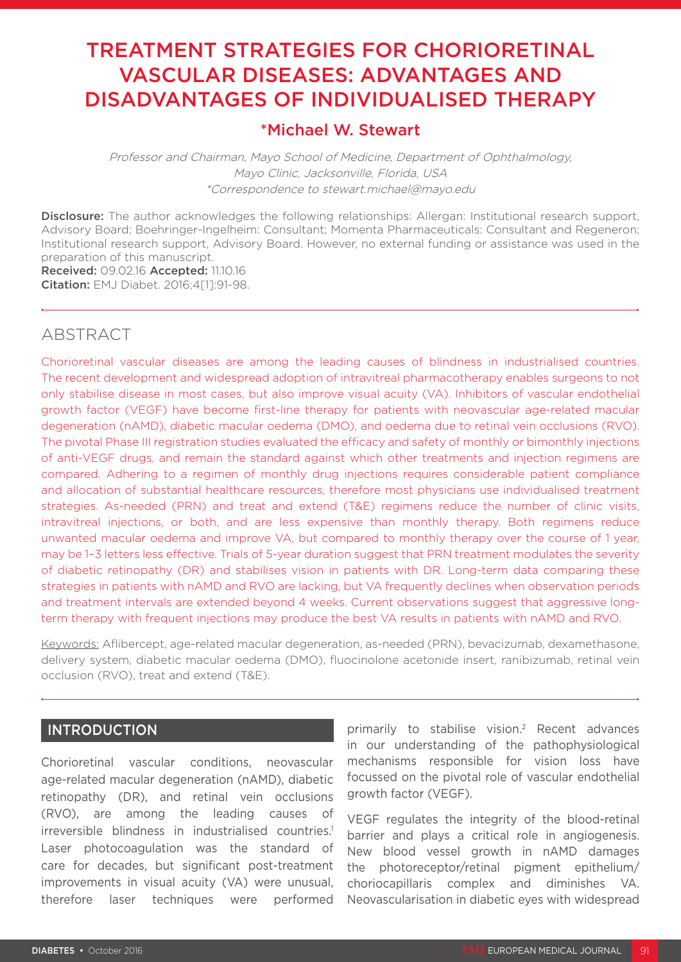# TREATMENT STRATEGIES FOR CHORIORETINAL VASCULAR DISEASES: ADVANTAGES AND DISADVANTAGES OF INDIVIDUALISED THERAPY

# \*Michael W. Stewart

Professor and Chairman, Mayo School of Medicine, Department of Ophthalmology, Mayo Clinic, Jacksonville, Florida, USA \*Correspondence to stewart.michael@mayo.edu

Disclosure: The author acknowledges the following relationships: Allergan: Institutional research support, Advisory Board; Boehringer-Ingelheim: Consultant; Momenta Pharmaceuticals: Consultant and Regeneron; Institutional research support, Advisory Board. However, no external funding or assistance was used in the preparation of this manuscript. Received: 09.02.16 Accepted: 11.10.16

Citation: EMJ Diabet. 2016;4[1]:91-98.

# **ABSTRACT**

Chorioretinal vascular diseases are among the leading causes of blindness in industrialised countries. The recent development and widespread adoption of intravitreal pharmacotherapy enables surgeons to not only stabilise disease in most cases, but also improve visual acuity (VA). Inhibitors of vascular endothelial growth factor (VEGF) have become first-line therapy for patients with neovascular age-related macular degeneration (nAMD), diabetic macular oedema (DMO), and oedema due to retinal vein occlusions (RVO). The pivotal Phase III registration studies evaluated the efficacy and safety of monthly or bimonthly injections of anti-VEGF drugs, and remain the standard against which other treatments and injection regimens are compared. Adhering to a regimen of monthly drug injections requires considerable patient compliance and allocation of substantial healthcare resources, therefore most physicians use individualised treatment strategies. As-needed (PRN) and treat and extend (T&E) regimens reduce the number of clinic visits, intravitreal injections, or both, and are less expensive than monthly therapy. Both regimens reduce unwanted macular oedema and improve VA, but compared to monthly therapy over the course of 1 year, may be 1–3 letters less effective. Trials of 5-year duration suggest that PRN treatment modulates the severity of diabetic retinopathy (DR) and stabilises vision in patients with DR. Long-term data comparing these strategies in patients with nAMD and RVO are lacking, but VA frequently declines when observation periods and treatment intervals are extended beyond 4 weeks. Current observations suggest that aggressive longterm therapy with frequent injections may produce the best VA results in patients with nAMD and RVO.

Keywords: Aflibercept, age-related macular degeneration, as-needed (PRN), bevacizumab, dexamethasone, delivery system, diabetic macular oedema (DMO), fluocinolone acetonide insert, ranibizumab, retinal vein occlusion (RVO), treat and extend (T&E).

## INTRODUCTION

Chorioretinal vascular conditions, neovascular age-related macular degeneration (nAMD), diabetic retinopathy (DR), and retinal vein occlusions (RVO), are among the leading causes of irreversible blindness in industrialised countries.<sup>1</sup> Laser photocoagulation was the standard of care for decades, but significant post-treatment improvements in visual acuity (VA) were unusual, therefore laser techniques were performed

primarily to stabilise vision.2 Recent advances in our understanding of the pathophysiological mechanisms responsible for vision loss have focussed on the pivotal role of vascular endothelial growth factor (VEGF).

VEGF regulates the integrity of the blood-retinal barrier and plays a critical role in angiogenesis. New blood vessel growth in nAMD damages the photoreceptor/retinal pigment epithelium/ choriocapillaris complex and diminishes VA. Neovascularisation in diabetic eyes with widespread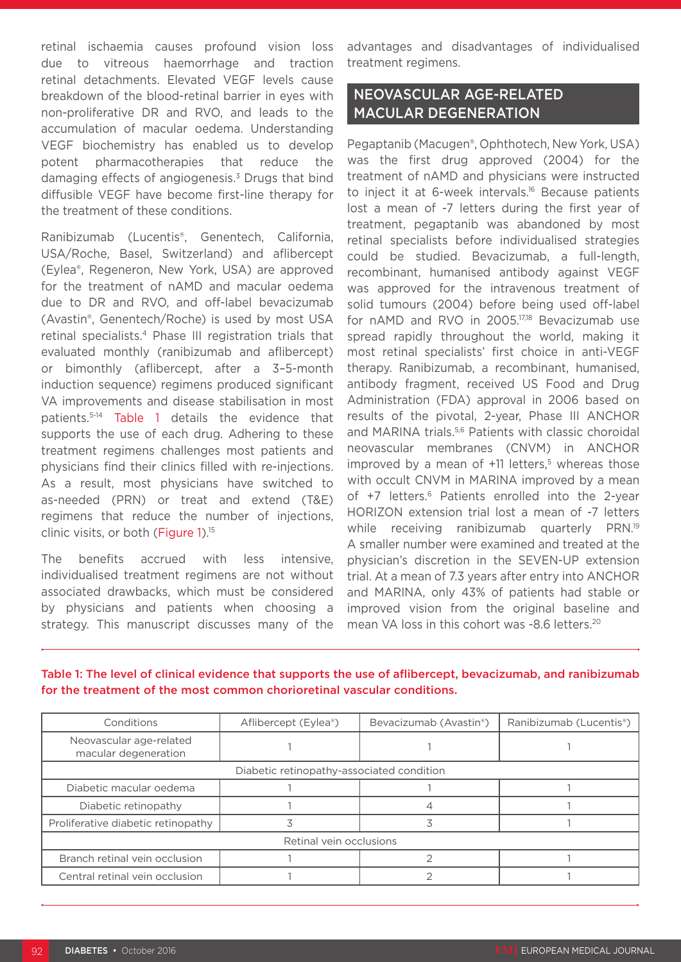retinal ischaemia causes profound vision loss due to vitreous haemorrhage and traction retinal detachments. Elevated VEGF levels cause breakdown of the blood-retinal barrier in eyes with non-proliferative DR and RVO, and leads to the accumulation of macular oedema. Understanding VEGF biochemistry has enabled us to develop potent pharmacotherapies that reduce the damaging effects of angiogenesis.<sup>3</sup> Drugs that bind diffusible VEGF have become first-line therapy for the treatment of these conditions.

Ranibizumab (Lucentis®, Genentech, California, USA/Roche, Basel, Switzerland) and aflibercept (Eylea®, Regeneron, New York, USA) are approved for the treatment of nAMD and macular oedema due to DR and RVO, and off-label bevacizumab (Avastin®, Genentech/Roche) is used by most USA retinal specialists.4 Phase III registration trials that evaluated monthly (ranibizumab and aflibercept) or bimonthly (aflibercept, after a 3–5-month induction sequence) regimens produced significant VA improvements and disease stabilisation in most patients.5-14 Table 1 details the evidence that supports the use of each drug. Adhering to these treatment regimens challenges most patients and physicians find their clinics filled with re-injections. As a result, most physicians have switched to as-needed (PRN) or treat and extend (T&E) regimens that reduce the number of injections, clinic visits, or both (Figure 1).<sup>15</sup>

The benefits accrued with less intensive, individualised treatment regimens are not without associated drawbacks, which must be considered by physicians and patients when choosing a strategy. This manuscript discusses many of the

advantages and disadvantages of individualised treatment regimens.

# NEOVASCULAR AGE-RELATED MACULAR DEGENERATION

Pegaptanib (Macugen®, Ophthotech, New York, USA) was the first drug approved (2004) for the treatment of nAMD and physicians were instructed to inject it at 6-week intervals.<sup>16</sup> Because patients lost a mean of -7 letters during the first year of treatment, pegaptanib was abandoned by most retinal specialists before individualised strategies could be studied. Bevacizumab, a full-length, recombinant, humanised antibody against VEGF was approved for the intravenous treatment of solid tumours (2004) before being used off-label for nAMD and RVO in 2005.17,18 Bevacizumab use spread rapidly throughout the world, making it most retinal specialists' first choice in anti-VEGF therapy. Ranibizumab, a recombinant, humanised, antibody fragment, received US Food and Drug Administration (FDA) approval in 2006 based on results of the pivotal, 2-year, Phase III ANCHOR and MARINA trials.5,6 Patients with classic choroidal neovascular membranes (CNVM) in ANCHOR improved by a mean of  $+11$  letters,<sup>5</sup> whereas those with occult CNVM in MARINA improved by a mean of +7 letters.<sup>6</sup> Patients enrolled into the 2-year HORIZON extension trial lost a mean of -7 letters while receiving ranibizumab quarterly PRN.<sup>19</sup> A smaller number were examined and treated at the physician's discretion in the SEVEN-UP extension trial. At a mean of 7.3 years after entry into ANCHOR and MARINA, only 43% of patients had stable or improved vision from the original baseline and mean VA loss in this cohort was -8.6 letters.20

| Conditions                                      | Aflibercept (Eylea <sup>®</sup> ) | Bevacizumab (Avastin®) | Ranibizumab (Lucentis <sup>®</sup> ) |
|-------------------------------------------------|-----------------------------------|------------------------|--------------------------------------|
| Neovascular age-related<br>macular degeneration |                                   |                        |                                      |
| Diabetic retinopathy-associated condition       |                                   |                        |                                      |
| Diabetic macular oedema                         |                                   |                        |                                      |
| Diabetic retinopathy                            |                                   |                        |                                      |
| Proliferative diabetic retinopathy              |                                   |                        |                                      |
| Retinal vein occlusions                         |                                   |                        |                                      |
| Branch retinal vein occlusion                   |                                   |                        |                                      |
| Central retinal vein occlusion                  |                                   |                        |                                      |

#### Table 1: The level of clinical evidence that supports the use of aflibercept, bevacizumab, and ranibizumab for the treatment of the most common chorioretinal vascular conditions.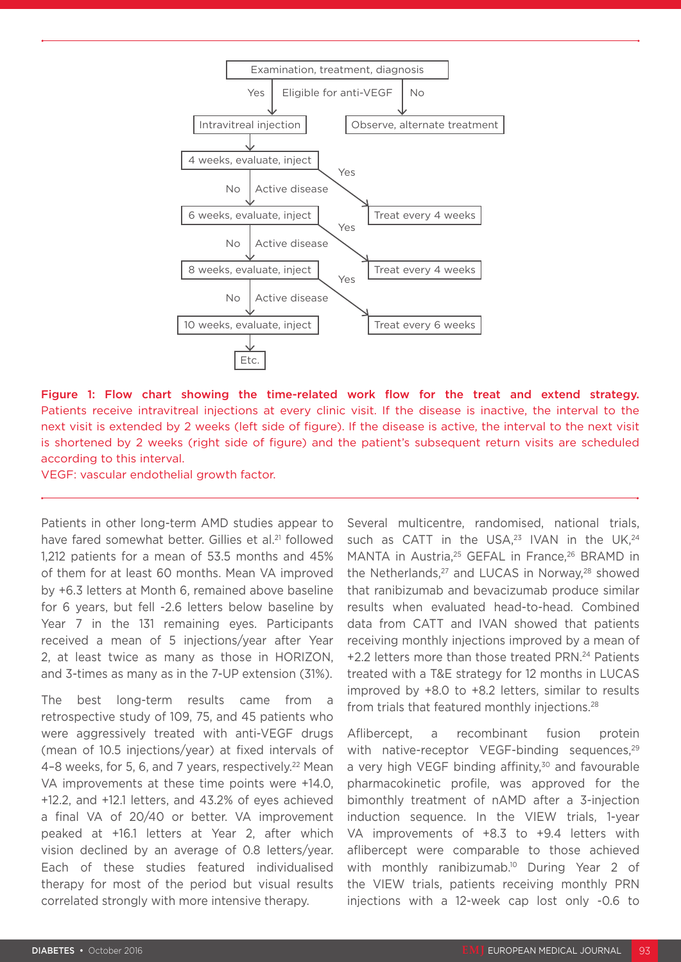

Figure 1: Flow chart showing the time-related work flow for the treat and extend strategy. Patients receive intravitreal injections at every clinic visit. If the disease is inactive, the interval to the next visit is extended by 2 weeks (left side of figure). If the disease is active, the interval to the next visit is shortened by 2 weeks (right side of figure) and the patient's subsequent return visits are scheduled according to this interval.

VEGF: vascular endothelial growth factor.

Patients in other long-term AMD studies appear to have fared somewhat better. Gillies et al.<sup>21</sup> followed 1,212 patients for a mean of 53.5 months and 45% of them for at least 60 months. Mean VA improved by +6.3 letters at Month 6, remained above baseline for 6 years, but fell -2.6 letters below baseline by Year 7 in the 131 remaining eyes. Participants received a mean of 5 injections/year after Year 2, at least twice as many as those in HORIZON, and 3-times as many as in the 7-UP extension (31%).

The best long-term results came from a retrospective study of 109, 75, and 45 patients who were aggressively treated with anti-VEGF drugs (mean of 10.5 injections/year) at fixed intervals of 4-8 weeks, for 5, 6, and 7 years, respectively.<sup>22</sup> Mean VA improvements at these time points were +14.0, +12.2, and +12.1 letters, and 43.2% of eyes achieved a final VA of 20/40 or better. VA improvement peaked at +16.1 letters at Year 2, after which vision declined by an average of 0.8 letters/year. Each of these studies featured individualised therapy for most of the period but visual results correlated strongly with more intensive therapy.

Several multicentre, randomised, national trials, such as CATT in the USA, $23$  IVAN in the UK, $24$ MANTA in Austria,<sup>25</sup> GEFAL in France,<sup>26</sup> BRAMD in the Netherlands,<sup>27</sup> and LUCAS in Norway,<sup>28</sup> showed that ranibizumab and bevacizumab produce similar results when evaluated head-to-head. Combined data from CATT and IVAN showed that patients receiving monthly injections improved by a mean of +2.2 letters more than those treated PRN.24 Patients treated with a T&E strategy for 12 months in LUCAS improved by +8.0 to +8.2 letters, similar to results from trials that featured monthly injections.28

Aflibercept, a recombinant fusion protein with native-receptor VEGF-binding sequences, $29$ a very high VEGF binding affinity, $30$  and favourable pharmacokinetic profile, was approved for the bimonthly treatment of nAMD after a 3-injection induction sequence. In the VIEW trials, 1-year VA improvements of +8.3 to +9.4 letters with aflibercept were comparable to those achieved with monthly ranibizumab.<sup>10</sup> During Year 2 of the VIEW trials, patients receiving monthly PRN injections with a 12-week cap lost only -0.6 to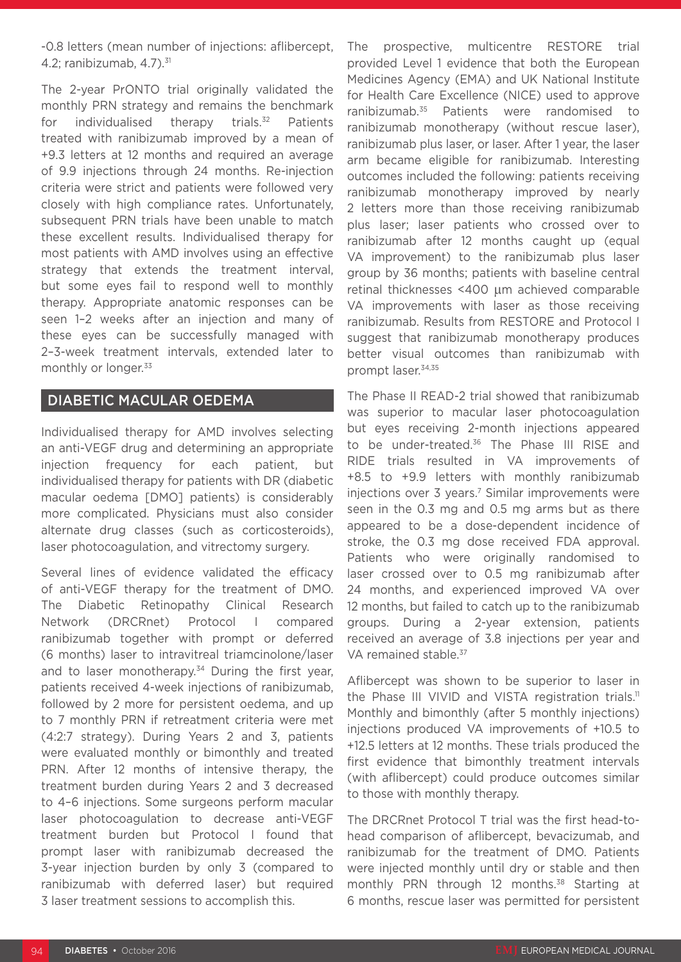-0.8 letters (mean number of injections: aflibercept, 4.2; ranibizumab,  $4.7$ ). $31$ 

The 2-year PrONTO trial originally validated the monthly PRN strategy and remains the benchmark for individualised therapy trials.<sup>32</sup> Patients treated with ranibizumab improved by a mean of +9.3 letters at 12 months and required an average of 9.9 injections through 24 months. Re-injection criteria were strict and patients were followed very closely with high compliance rates. Unfortunately, subsequent PRN trials have been unable to match these excellent results. Individualised therapy for most patients with AMD involves using an effective strategy that extends the treatment interval, but some eyes fail to respond well to monthly therapy. Appropriate anatomic responses can be seen 1–2 weeks after an injection and many of these eyes can be successfully managed with 2–3-week treatment intervals, extended later to monthly or longer.<sup>33</sup>

#### DIABETIC MACULAR OEDEMA

Individualised therapy for AMD involves selecting an anti-VEGF drug and determining an appropriate injection frequency for each patient, but individualised therapy for patients with DR (diabetic macular oedema [DMO] patients) is considerably more complicated. Physicians must also consider alternate drug classes (such as corticosteroids), laser photocoagulation, and vitrectomy surgery.

Several lines of evidence validated the efficacy of anti-VEGF therapy for the treatment of DMO. The Diabetic Retinopathy Clinical Research Network (DRCRnet) Protocol I compared ranibizumab together with prompt or deferred (6 months) laser to intravitreal triamcinolone/laser and to laser monotherapy. $34$  During the first year, patients received 4-week injections of ranibizumab, followed by 2 more for persistent oedema, and up to 7 monthly PRN if retreatment criteria were met (4:2:7 strategy). During Years 2 and 3, patients were evaluated monthly or bimonthly and treated PRN. After 12 months of intensive therapy, the treatment burden during Years 2 and 3 decreased to 4–6 injections. Some surgeons perform macular laser photocoagulation to decrease anti-VEGF treatment burden but Protocol I found that prompt laser with ranibizumab decreased the 3-year injection burden by only 3 (compared to ranibizumab with deferred laser) but required 3 laser treatment sessions to accomplish this.

The prospective, multicentre RESTORE trial provided Level 1 evidence that both the European Medicines Agency (EMA) and UK National Institute for Health Care Excellence (NICE) used to approve ranibizumab.<sup>35</sup> Patients were randomised to ranibizumab monotherapy (without rescue laser), ranibizumab plus laser, or laser. After 1 year, the laser arm became eligible for ranibizumab. Interesting outcomes included the following: patients receiving ranibizumab monotherapy improved by nearly 2 letters more than those receiving ranibizumab plus laser; laser patients who crossed over to ranibizumab after 12 months caught up (equal VA improvement) to the ranibizumab plus laser group by 36 months; patients with baseline central retinal thicknesses <400 µm achieved comparable VA improvements with laser as those receiving ranibizumab. Results from RESTORE and Protocol I suggest that ranibizumab monotherapy produces better visual outcomes than ranibizumab with prompt laser.34,35

The Phase II READ-2 trial showed that ranibizumab was superior to macular laser photocoagulation but eyes receiving 2-month injections appeared to be under-treated.<sup>36</sup> The Phase III RISE and RIDE trials resulted in VA improvements of +8.5 to +9.9 letters with monthly ranibizumab injections over 3 years.<sup>7</sup> Similar improvements were seen in the 0.3 mg and 0.5 mg arms but as there appeared to be a dose-dependent incidence of stroke, the 0.3 mg dose received FDA approval. Patients who were originally randomised to laser crossed over to 0.5 mg ranibizumab after 24 months, and experienced improved VA over 12 months, but failed to catch up to the ranibizumab groups. During a 2-year extension, patients received an average of 3.8 injections per year and VA remained stable.<sup>37</sup>

Aflibercept was shown to be superior to laser in the Phase III VIVID and VISTA registration trials.<sup>11</sup> Monthly and bimonthly (after 5 monthly injections) injections produced VA improvements of +10.5 to +12.5 letters at 12 months. These trials produced the first evidence that bimonthly treatment intervals (with aflibercept) could produce outcomes similar to those with monthly therapy.

The DRCRnet Protocol T trial was the first head-tohead comparison of aflibercept, bevacizumab, and ranibizumab for the treatment of DMO. Patients were injected monthly until dry or stable and then monthly PRN through 12 months.<sup>38</sup> Starting at 6 months, rescue laser was permitted for persistent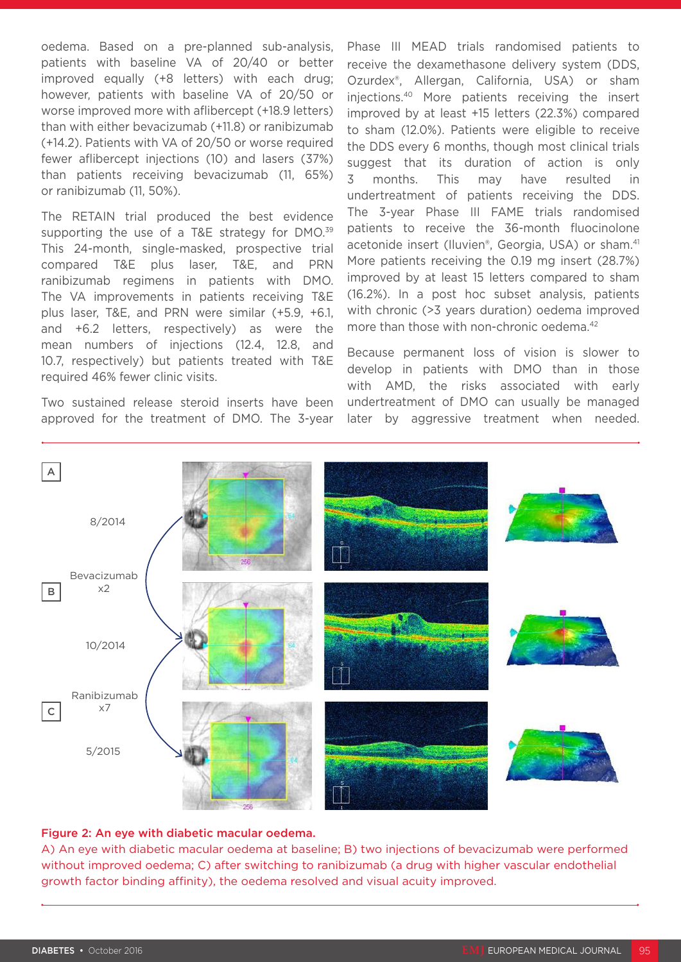oedema. Based on a pre-planned sub-analysis, patients with baseline VA of 20/40 or better improved equally (+8 letters) with each drug; however, patients with baseline VA of 20/50 or worse improved more with aflibercept (+18.9 letters) than with either bevacizumab (+11.8) or ranibizumab (+14.2). Patients with VA of 20/50 or worse required fewer aflibercept injections (10) and lasers (37%) than patients receiving bevacizumab (11, 65%) or ranibizumab (11, 50%).

The RETAIN trial produced the best evidence supporting the use of a T&E strategy for DMO.<sup>39</sup> This 24-month, single-masked, prospective trial compared T&E plus laser, T&E, and PRN ranibizumab regimens in patients with DMO. The VA improvements in patients receiving T&E plus laser, T&E, and PRN were similar (+5.9, +6.1, and +6.2 letters, respectively) as were the mean numbers of injections (12.4, 12.8, and 10.7, respectively) but patients treated with T&E required 46% fewer clinic visits.

Two sustained release steroid inserts have been approved for the treatment of DMO. The 3-year Phase III MEAD trials randomised patients to receive the dexamethasone delivery system (DDS, Ozurdex®, Allergan, California, USA) or sham injections.40 More patients receiving the insert improved by at least +15 letters (22.3%) compared to sham (12.0%). Patients were eligible to receive the DDS every 6 months, though most clinical trials suggest that its duration of action is only 3 months. This may have resulted in undertreatment of patients receiving the DDS. The 3-year Phase III FAME trials randomised patients to receive the 36-month fluocinolone acetonide insert (Iluvien®, Georgia, USA) or sham.<sup>41</sup> More patients receiving the 0.19 mg insert (28.7%) improved by at least 15 letters compared to sham (16.2%). In a post hoc subset analysis, patients with chronic (>3 years duration) oedema improved more than those with non-chronic oedema.<sup>42</sup>

Because permanent loss of vision is slower to develop in patients with DMO than in those with AMD, the risks associated with early undertreatment of DMO can usually be managed later by aggressive treatment when needed.



#### Figure 2: An eye with diabetic macular oedema.

A) An eye with diabetic macular oedema at baseline; B) two injections of bevacizumab were performed without improved oedema; C) after switching to ranibizumab (a drug with higher vascular endothelial growth factor binding affinity), the oedema resolved and visual acuity improved.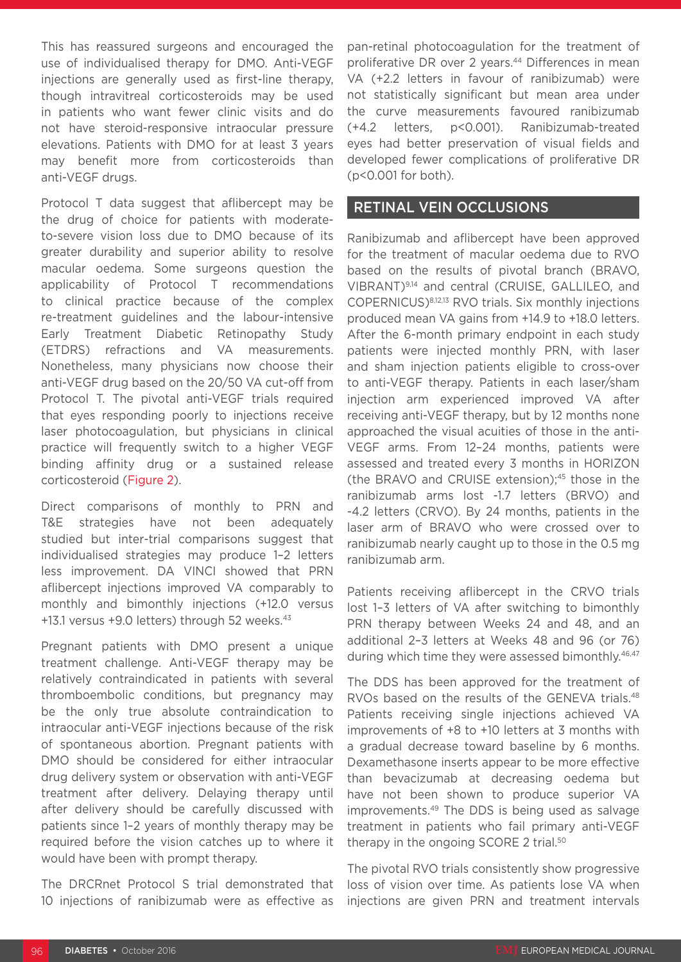This has reassured surgeons and encouraged the use of individualised therapy for DMO. Anti-VEGF injections are generally used as first-line therapy, though intravitreal corticosteroids may be used in patients who want fewer clinic visits and do not have steroid-responsive intraocular pressure elevations. Patients with DMO for at least 3 years may benefit more from corticosteroids than anti-VEGF drugs.

Protocol T data suggest that aflibercept may be the drug of choice for patients with moderateto-severe vision loss due to DMO because of its greater durability and superior ability to resolve macular oedema. Some surgeons question the applicability of Protocol T recommendations to clinical practice because of the complex re-treatment guidelines and the labour-intensive Early Treatment Diabetic Retinopathy Study (ETDRS) refractions and VA measurements. Nonetheless, many physicians now choose their anti-VEGF drug based on the 20/50 VA cut-off from Protocol T. The pivotal anti-VEGF trials required that eyes responding poorly to injections receive laser photocoagulation, but physicians in clinical practice will frequently switch to a higher VEGF binding affinity drug or a sustained release corticosteroid (Figure 2).

Direct comparisons of monthly to PRN and T&E strategies have not been adequately studied but inter-trial comparisons suggest that individualised strategies may produce 1–2 letters less improvement. DA VINCI showed that PRN aflibercept injections improved VA comparably to monthly and bimonthly injections (+12.0 versus +13.1 versus +9.0 letters) through 52 weeks. $43$ 

Pregnant patients with DMO present a unique treatment challenge. Anti-VEGF therapy may be relatively contraindicated in patients with several thromboembolic conditions, but pregnancy may be the only true absolute contraindication to intraocular anti-VEGF injections because of the risk of spontaneous abortion. Pregnant patients with DMO should be considered for either intraocular drug delivery system or observation with anti-VEGF treatment after delivery. Delaying therapy until after delivery should be carefully discussed with patients since 1–2 years of monthly therapy may be required before the vision catches up to where it would have been with prompt therapy.

The DRCRnet Protocol S trial demonstrated that 10 injections of ranibizumab were as effective as

pan-retinal photocoagulation for the treatment of proliferative DR over 2 years.<sup>44</sup> Differences in mean VA (+2.2 letters in favour of ranibizumab) were not statistically significant but mean area under the curve measurements favoured ranibizumab (+4.2 letters, p<0.001). Ranibizumab-treated eyes had better preservation of visual fields and developed fewer complications of proliferative DR (p<0.001 for both).

### RETINAL VEIN OCCLUSIONS

Ranibizumab and aflibercept have been approved for the treatment of macular oedema due to RVO based on the results of pivotal branch (BRAVO, VIBRANT)9,14 and central (CRUISE, GALLILEO, and COPERNICUS)8,12,13 RVO trials. Six monthly injections produced mean VA gains from +14.9 to +18.0 letters. After the 6-month primary endpoint in each study patients were injected monthly PRN, with laser and sham injection patients eligible to cross-over to anti-VEGF therapy. Patients in each laser/sham injection arm experienced improved VA after receiving anti-VEGF therapy, but by 12 months none approached the visual acuities of those in the anti-VEGF arms. From 12–24 months, patients were assessed and treated every 3 months in HORIZON (the BRAVO and CRUISE extension);45 those in the ranibizumab arms lost -1.7 letters (BRVO) and -4.2 letters (CRVO). By 24 months, patients in the laser arm of BRAVO who were crossed over to ranibizumab nearly caught up to those in the 0.5 mg ranibizumab arm.

Patients receiving aflibercept in the CRVO trials lost 1–3 letters of VA after switching to bimonthly PRN therapy between Weeks 24 and 48, and an additional 2–3 letters at Weeks 48 and 96 (or 76) during which time they were assessed bimonthly.<sup>46,47</sup>

The DDS has been approved for the treatment of RVOs based on the results of the GENEVA trials.<sup>48</sup> Patients receiving single injections achieved VA improvements of +8 to +10 letters at 3 months with a gradual decrease toward baseline by 6 months. Dexamethasone inserts appear to be more effective than bevacizumab at decreasing oedema but have not been shown to produce superior VA improvements.49 The DDS is being used as salvage treatment in patients who fail primary anti-VEGF therapy in the ongoing SCORE 2 trial.<sup>50</sup>

The pivotal RVO trials consistently show progressive loss of vision over time. As patients lose VA when injections are given PRN and treatment intervals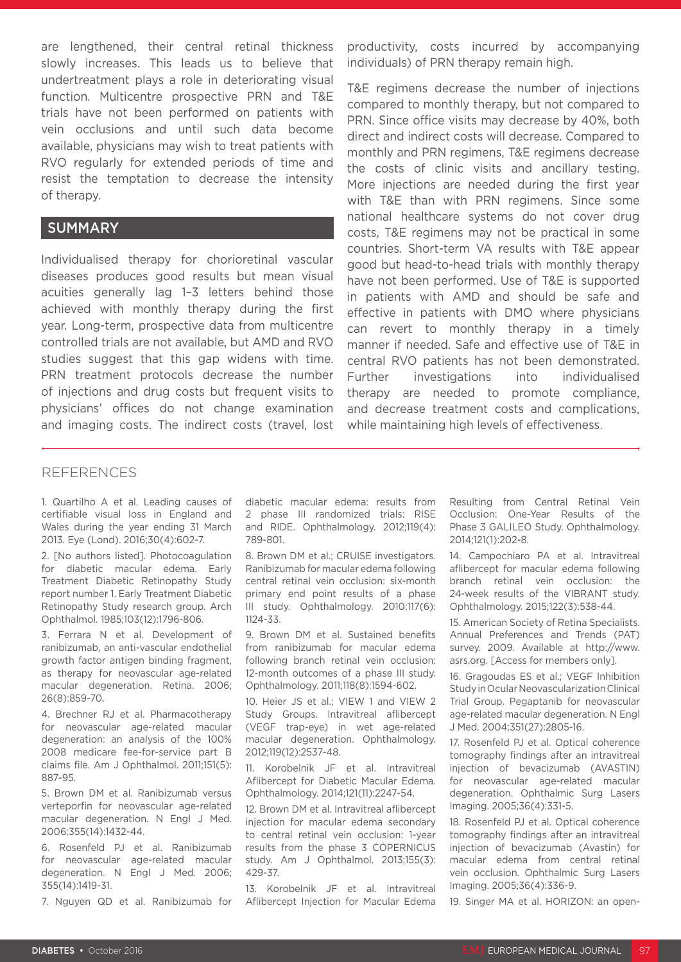are lengthened, their central retinal thickness slowly increases. This leads us to believe that undertreatment plays a role in deteriorating visual function. Multicentre prospective PRN and T&E trials have not been performed on patients with vein occlusions and until such data become available, physicians may wish to treat patients with RVO regularly for extended periods of time and resist the temptation to decrease the intensity of therapy.

#### SUMMARY

Individualised therapy for chorioretinal vascular diseases produces good results but mean visual acuities generally lag 1–3 letters behind those achieved with monthly therapy during the first year. Long-term, prospective data from multicentre controlled trials are not available, but AMD and RVO studies suggest that this gap widens with time. PRN treatment protocols decrease the number of injections and drug costs but frequent visits to physicians' offices do not change examination and imaging costs. The indirect costs (travel, lost

productivity, costs incurred by accompanying individuals) of PRN therapy remain high.

T&E regimens decrease the number of injections compared to monthly therapy, but not compared to PRN. Since office visits may decrease by 40%, both direct and indirect costs will decrease. Compared to monthly and PRN regimens, T&E regimens decrease the costs of clinic visits and ancillary testing. More injections are needed during the first year with T&E than with PRN regimens. Since some national healthcare systems do not cover drug costs, T&E regimens may not be practical in some countries. Short-term VA results with T&E appear good but head-to-head trials with monthly therapy have not been performed. Use of T&E is supported in patients with AMD and should be safe and effective in patients with DMO where physicians can revert to monthly therapy in a timely manner if needed. Safe and effective use of T&E in central RVO patients has not been demonstrated. Further investigations into individualised therapy are needed to promote compliance, and decrease treatment costs and complications, while maintaining high levels of effectiveness.

#### REFERENCES

1. Quartilho A et al. Leading causes of certifiable visual loss in England and Wales during the year ending 31 March 2013. Eye (Lond). 2016;30(4):602-7.

2. [No authors listed]. Photocoagulation for diabetic macular edema. Early Treatment Diabetic Retinopathy Study report number 1. Early Treatment Diabetic Retinopathy Study research group. Arch Ophthalmol. 1985;103(12):1796-806.

3. Ferrara N et al. Development of ranibizumab, an anti-vascular endothelial growth factor antigen binding fragment, as therapy for neovascular age-related macular degeneration. Retina. 2006; 26(8):859-70.

4. Brechner RJ et al. Pharmacotherapy for neovascular age-related macular degeneration: an analysis of the 100% 2008 medicare fee-for-service part B claims file. Am J Ophthalmol. 2011;151(5): 887-95.

5. Brown DM et al. Ranibizumab versus verteporfin for neovascular age-related macular degeneration. N Engl J Med. 2006;355(14):1432-44.

6. Rosenfeld PJ et al. Ranibizumab for neovascular age-related macular degeneration. N Engl J Med. 2006; 355(14):1419-31.

7. Nguyen QD et al. Ranibizumab for

diabetic macular edema: results from 2 phase III randomized trials: RISE and RIDE. Ophthalmology. 2012;119(4): 789-801.

8. Brown DM et al.; CRUISE investigators. Ranibizumab for macular edema following central retinal vein occlusion: six-month primary end point results of a phase III study. Ophthalmology. 2010;117(6): 1124-33.

9. Brown DM et al. Sustained benefits from ranibizumab for macular edema following branch retinal vein occlusion: 12-month outcomes of a phase III study. Ophthalmology. 2011;118(8):1594-602.

10. Heier JS et al.; VIEW 1 and VIEW 2 Study Groups. Intravitreal aflibercept (VEGF trap-eye) in wet age-related macular degeneration. Ophthalmology. 2012;119(12):2537-48.

11. Korobelnik JF et al. Intravitreal Aflibercept for Diabetic Macular Edema. Ophthalmology. 2014;121(11):2247-54.

12. Brown DM et al. Intravitreal aflibercept injection for macular edema secondary to central retinal vein occlusion: 1-year results from the phase 3 COPERNICUS study. Am J Ophthalmol. 2013;155(3): 429-37.

13. Korobelnik JF et al. Intravitreal Aflibercept Injection for Macular Edema Resulting from Central Retinal Vein Occlusion: One-Year Results of the Phase 3 GALILEO Study. Ophthalmology. 2014;121(1):202-8.

14. Campochiaro PA et al. Intravitreal aflibercept for macular edema following branch retinal vein occlusion: the 24-week results of the VIBRANT study. Ophthalmology. 2015;122(3):538-44.

15. American Society of Retina Specialists. Annual Preferences and Trends (PAT) survey. 2009. Available at http://www. asrs.org. [Access for members only].

16. Gragoudas ES et al.; VEGF Inhibition Study in Ocular Neovascularization Clinical Trial Group. Pegaptanib for neovascular age-related macular degeneration. N Engl J Med. 2004;351(27):2805-16.

17. Rosenfeld PJ et al. Optical coherence tomography findings after an intravitreal injection of bevacizumab (AVASTIN) for neovascular age-related macular degeneration. Ophthalmic Surg Lasers Imaging. 2005;36(4):331-5.

18. Rosenfeld PJ et al. Optical coherence tomography findings after an intravitreal injection of bevacizumab (Avastin) for macular edema from central retinal vein occlusion. Ophthalmic Surg Lasers Imaging. 2005;36(4):336-9.

19. Singer MA et al. HORIZON: an open-